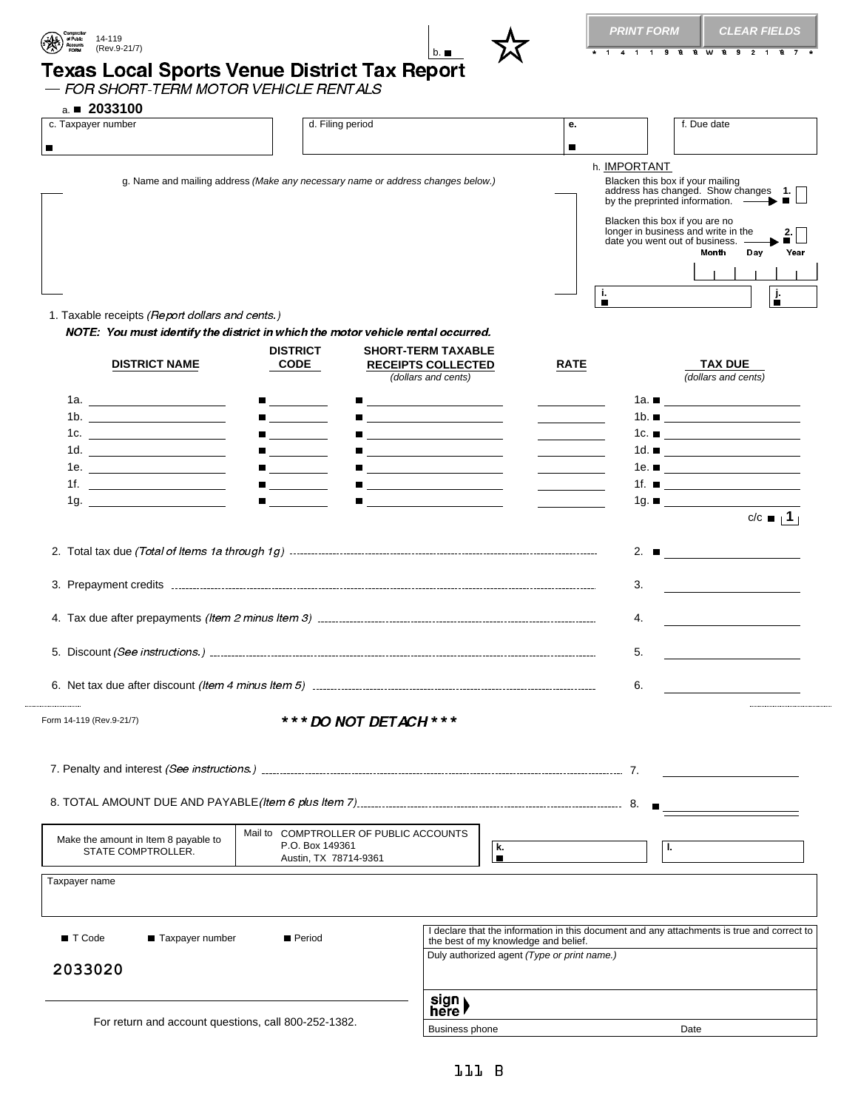



**b.m. DEAR FIELDS PRINT FORM CLEAR FIELDS**

# Texas Local Sports Venue District Tax Report  $\overline{\phantom{a}}$

FOR SHORT-TERM MOTOR VEHICLE RENTALS

## a. b **2033100**

| c. Taxpayer number                                                                                                                                                       | d. Filing period                                                                    |                                                                                                                                                                                                                                      | е.                                                                     | f. Due date                                                                                                                            |  |  |
|--------------------------------------------------------------------------------------------------------------------------------------------------------------------------|-------------------------------------------------------------------------------------|--------------------------------------------------------------------------------------------------------------------------------------------------------------------------------------------------------------------------------------|------------------------------------------------------------------------|----------------------------------------------------------------------------------------------------------------------------------------|--|--|
| Ħ                                                                                                                                                                        |                                                                                     |                                                                                                                                                                                                                                      | $\blacksquare$                                                         |                                                                                                                                        |  |  |
|                                                                                                                                                                          | g. Name and mailing address (Make any necessary name or address changes below.)     |                                                                                                                                                                                                                                      | h. IMPORTANT                                                           | Blacken this box if your mailing<br>address has changed. Show changes 1.                                                               |  |  |
|                                                                                                                                                                          |                                                                                     |                                                                                                                                                                                                                                      |                                                                        | by the preprinted information. $\overrightarrow{\phantom{I}}$<br>Blacken this box if you are no<br>longer in business and write in the |  |  |
|                                                                                                                                                                          |                                                                                     |                                                                                                                                                                                                                                      |                                                                        | date you went out of business. -<br>Month<br>Day<br>Year                                                                               |  |  |
|                                                                                                                                                                          |                                                                                     |                                                                                                                                                                                                                                      |                                                                        |                                                                                                                                        |  |  |
| 1. Taxable receipts (Report dollars and cents.)                                                                                                                          |                                                                                     |                                                                                                                                                                                                                                      | j.,<br>$\blacksquare$                                                  | ŀ                                                                                                                                      |  |  |
| NOTE: You must identify the district in which the motor vehicle rental occurred.                                                                                         |                                                                                     |                                                                                                                                                                                                                                      |                                                                        |                                                                                                                                        |  |  |
| <b>DISTRICT NAME</b>                                                                                                                                                     | <b>DISTRICT</b><br><b>CODE</b>                                                      | <b>SHORT-TERM TAXABLE</b><br><b>RECEIPTS COLLECTED</b><br>(dollars and cents)                                                                                                                                                        | <b>RATE</b>                                                            | <b>TAX DUE</b><br>(dollars and cents)                                                                                                  |  |  |
| 1a. _________________________                                                                                                                                            | $\blacksquare$ . The set of $\blacksquare$                                          | $\blacksquare \underbrace{\hspace{1.5cm}}$                                                                                                                                                                                           | <b>Contract Contract Contract</b>                                      | 1a. <b>■</b> ________________________                                                                                                  |  |  |
| 1b. $\qquad \qquad$                                                                                                                                                      |                                                                                     | <b>A</b> <u>discussion of the second contract of</u>                                                                                                                                                                                 |                                                                        | 1b. $\blacksquare$                                                                                                                     |  |  |
| 1d.<br><u> Alexandro Alexandro Alexandro Alexandro Alexandro Alexandro Alexandro Alexandro Alexandro Alexandro Alexandro A</u>                                           | $\blacksquare$<br>$\blacksquare$                                                    | $\blacksquare$ . The contract of the contract of the contract of the contract of the contract of the contract of the contract of the contract of the contract of the contract of the contract of the contract of the contract of the | <b>Contract Contract Contract</b><br><b>Contract Contract Contract</b> | 1c. $\blacksquare$<br>1d. $\blacksquare$                                                                                               |  |  |
| 1e. _________________________                                                                                                                                            | $\blacksquare$                                                                      | $\blacksquare$ . The contract of the contract of the contract of the contract of the contract of the contract of the contract of the contract of the contract of the contract of the contract of the contract of the contract of the |                                                                        | 1e. ■ _________________________                                                                                                        |  |  |
| 1f.<br><u> Alban Alban (</u><br>1g.                                                                                                                                      |                                                                                     | $\blacksquare$ . The contract of the contract of the contract of the contract of the contract of the contract of the contract of the contract of the contract of the contract of the contract of the contract of the contract of the | <b>Contract Contract Contract</b>                                      | 1f. $\blacksquare$<br>$1g.$ $\blacksquare$                                                                                             |  |  |
|                                                                                                                                                                          |                                                                                     |                                                                                                                                                                                                                                      |                                                                        | $c/c$ $\blacksquare$   1                                                                                                               |  |  |
|                                                                                                                                                                          |                                                                                     |                                                                                                                                                                                                                                      |                                                                        |                                                                                                                                        |  |  |
|                                                                                                                                                                          |                                                                                     |                                                                                                                                                                                                                                      |                                                                        | 2. ■                                                                                                                                   |  |  |
|                                                                                                                                                                          |                                                                                     |                                                                                                                                                                                                                                      |                                                                        | 3.<br><u> 1989 - Johann Barbara, martxa amerikan p</u>                                                                                 |  |  |
|                                                                                                                                                                          |                                                                                     |                                                                                                                                                                                                                                      |                                                                        | 4.<br><u> 1980 - Johann Barbara, martin a</u>                                                                                          |  |  |
|                                                                                                                                                                          |                                                                                     |                                                                                                                                                                                                                                      |                                                                        | 5.                                                                                                                                     |  |  |
|                                                                                                                                                                          |                                                                                     |                                                                                                                                                                                                                                      |                                                                        | 6.                                                                                                                                     |  |  |
| Form 14-119 (Rev.9-21/7)                                                                                                                                                 | *** DO NOT DETACH ***                                                               |                                                                                                                                                                                                                                      |                                                                        |                                                                                                                                        |  |  |
|                                                                                                                                                                          |                                                                                     |                                                                                                                                                                                                                                      |                                                                        |                                                                                                                                        |  |  |
|                                                                                                                                                                          |                                                                                     |                                                                                                                                                                                                                                      |                                                                        |                                                                                                                                        |  |  |
|                                                                                                                                                                          |                                                                                     |                                                                                                                                                                                                                                      |                                                                        |                                                                                                                                        |  |  |
| Mail to COMPTROLLER OF PUBLIC ACCOUNTS<br>Make the amount in Item 8 payable to<br>P.O. Box 149361<br>k.<br>STATE COMPTROLLER.<br>Austin, TX 78714-9361<br>$\blacksquare$ |                                                                                     |                                                                                                                                                                                                                                      |                                                                        | Т.                                                                                                                                     |  |  |
| Taxpayer name                                                                                                                                                            |                                                                                     |                                                                                                                                                                                                                                      |                                                                        |                                                                                                                                        |  |  |
| $\blacksquare$ T Code<br>Taxpayer number                                                                                                                                 | <b>■ Period</b>                                                                     |                                                                                                                                                                                                                                      |                                                                        | declare that the information in this document and any attachments is true and correct to                                               |  |  |
|                                                                                                                                                                          | the best of my knowledge and belief.<br>Duly authorized agent (Type or print name.) |                                                                                                                                                                                                                                      |                                                                        |                                                                                                                                        |  |  |
| 2033020                                                                                                                                                                  |                                                                                     |                                                                                                                                                                                                                                      |                                                                        |                                                                                                                                        |  |  |
|                                                                                                                                                                          |                                                                                     | sign <sub>1</sub><br>here l                                                                                                                                                                                                          |                                                                        |                                                                                                                                        |  |  |
| For return and account questions, call 800-252-1382.                                                                                                                     |                                                                                     | <b>Business phone</b>                                                                                                                                                                                                                | Date                                                                   |                                                                                                                                        |  |  |